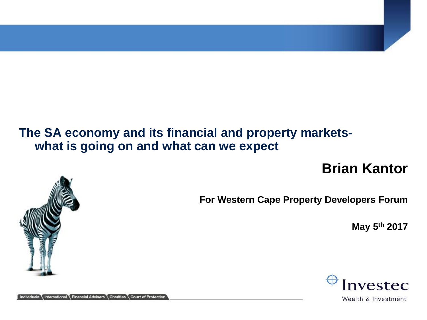#### **The SA economy and its financial and property marketswhat is going on and what can we expect**

# **Brian Kantor**



**May 5th 2017**



Wealth & Investment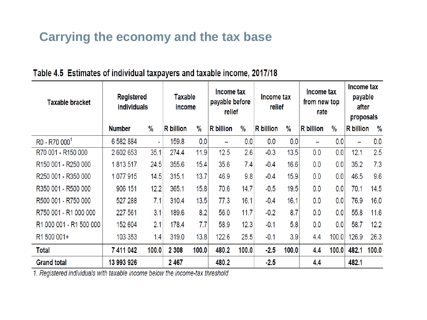## **Carrying the economy and the tax base**

| <b>Taxable bracket</b>                      | Registered<br><b>individuals</b> |               | <b>Taxable</b><br>income |               | Income tax<br>payable before<br>relief |               | Income tax<br>relief |               | Income tax<br>from new top<br>rate |               | Income tax<br>payable<br>after<br>proposals |               |
|---------------------------------------------|----------------------------------|---------------|--------------------------|---------------|----------------------------------------|---------------|----------------------|---------------|------------------------------------|---------------|---------------------------------------------|---------------|
|                                             | <b>Number</b>                    | $\frac{9}{6}$ | <b>R</b> billion         | $\frac{0}{0}$ | <b>R</b> billion                       | $\frac{0}{0}$ | <b>R</b> billion     | $\frac{0}{0}$ | R billion                          | $\frac{0}{0}$ | <b>R</b> billion                            | $\frac{0}{0}$ |
| $RO - R70 0001$                             | 6 582 884                        | ÷,            | 159.8                    | 0.0           | -                                      | 0.0           | 0.0                  | 0.0           | $\overline{\phantom{0}}$           | 0.0           | -                                           | 0.0           |
| R70 001 - R150 000                          | 2 602 653                        | 35.1          | 274.4                    | 11.9          | 12.5                                   | 2.6           | $-0.3$               | 13.5          | 0.0                                | 0.0           | 12.1                                        | 2.5           |
| R <sub>150</sub> 001 - R <sub>250</sub> 000 | 1813517                          | 24.5          | 355.6                    | 15.4          | 35.6                                   | 7.4           | $-0.4$               | 16.6          | 0.0                                | 0.0           | 35.2                                        | 7.3           |
| R250 001 - R350 000                         | 1077915                          | 14.5          | 315.1                    | 13.7          | 46.9                                   | 9.8           | $-0.4$               | 15.9          | 0.0                                | 0.0           | 46.5                                        | 9.6           |
| R350 001 - R500 000                         | 906 151                          | 12.2          | 365.1                    | 15.8          | 70.6                                   | 14.7          | $-0.5$               | 19.5          | 0.0                                | 0.0           | 70.1                                        | 14.5          |
| R500 001 - R750 000                         | 527 288                          | 7.1           | 310.4                    | 13.5          | 77.3                                   | 16.1          | $-0.4$               | 16.1          | 0.0                                | 0.0           | 76.9                                        | 16.0          |
| R750 001 - R1 000 000                       | 227 561                          | 3.1           | 189.6                    | 8.2           | 56.0                                   | 11.7          | $-0.2$               | 8.7           | 0.0                                | 0.0           | 55.8                                        | 11.6          |
| R1 000 001 - R1 500 000                     | 152 604                          | 2.1           | 178.4                    | 7.7           | 58.9                                   | 12.3          | $-0.1$               | 5.8           | 0.0                                | 0.0           | 58.7                                        | 12.2          |
| R1 500 001+                                 | 103 353                          | 1.4           | 319.0                    | 13.8          | 122.6                                  | 25.5          | $-0.1$               | 3.9           | 4.4                                | 100.0         | 126.9                                       | 26.3          |
| Total                                       | 7 411 042                        | 100.0         | 2 3 0 8                  | 100.0         | 480.2                                  | 100.0         | $-2.5$               | 100.0         | 4.4                                | 100.0         | 482.1                                       | 100.0         |
| <b>Grand total</b>                          | 13 993 926                       |               | 2467                     |               | 480.2                                  |               | $-2.5$               |               | 4.4                                |               | 482.1                                       |               |

#### Table 4.5 Estimates of individual taxpayers and taxable income, 2017/18

1. Registered individuals with taxable income below the income-tax threshold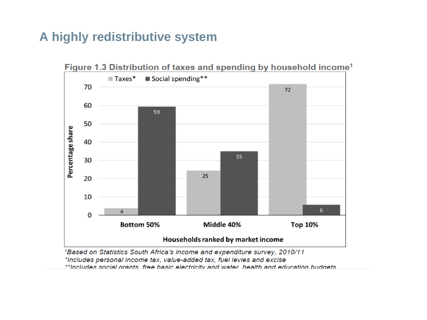### **A highly redistributive system**



<sup>1</sup>Based on Statistics South Africa's income and expenditure survey, 2010/11 \*Includes personal income tax, value-added tax, fuel levies and excise \*\*Includes social grants, free basic electricity and water, health and education budgets.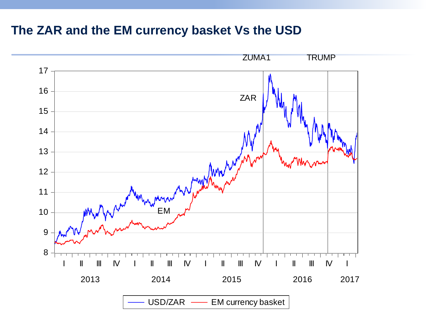## **The ZAR and the EM currency basket Vs the USD**

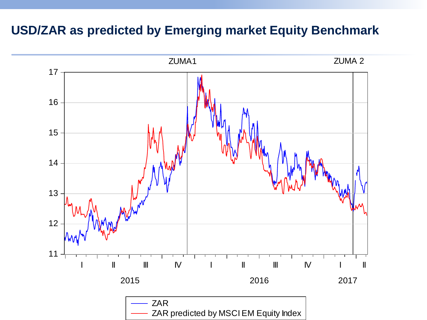#### **USD/ZAR as predicted by Emerging market Equity Benchmark**

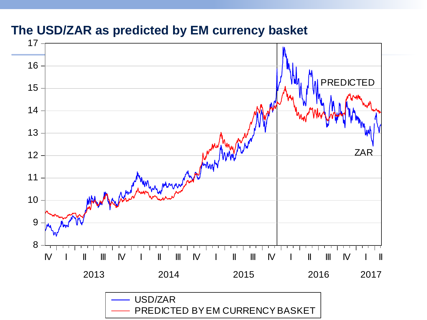#### **The USD/ZAR as predicted by EM currency basket**

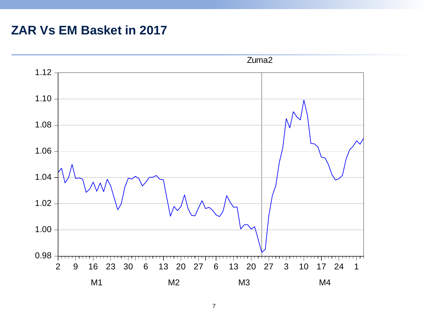#### **ZAR Vs EM Basket in 2017**

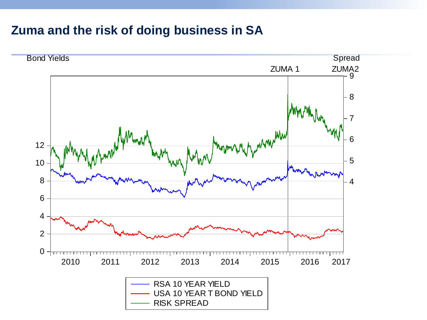#### **Zuma and the risk of doing business in SA**

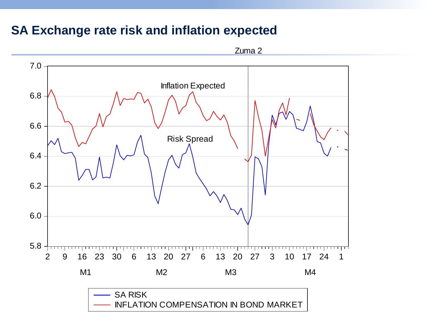#### **SA Exchange rate risk and inflation expected**



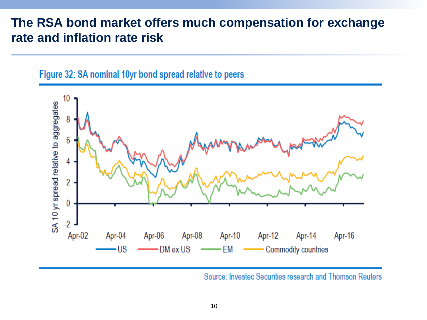#### **The RSA bond market offers much compensation for exchange rate and inflation rate risk**





Source: Investec Securities research and Thomson Reuters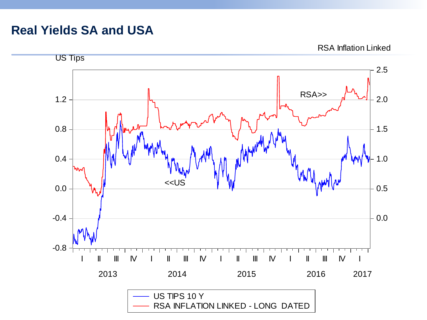#### **Real Yields SA and USA**

RSA Inflation Linked

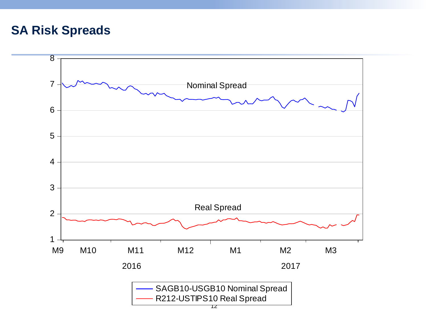#### **SA Risk Spreads**

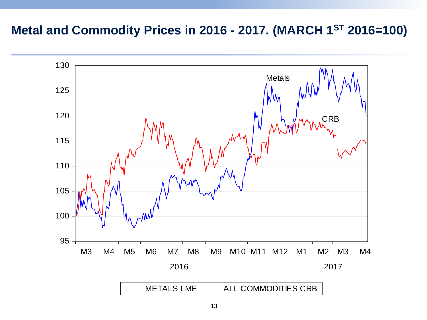#### **Metal and Commodity Prices in 2016 - 2017. (MARCH 1 ST 2016=100)**

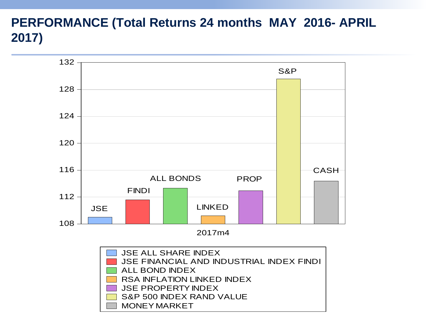## **PERFORMANCE (Total Returns 24 months MAY 2016- APRIL 2017)**

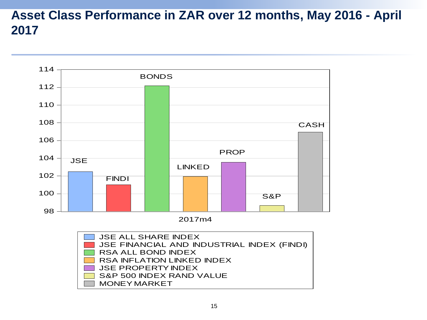### **Asset Class Performance in ZAR over 12 months, May 2016 - April 2017**



2017m4

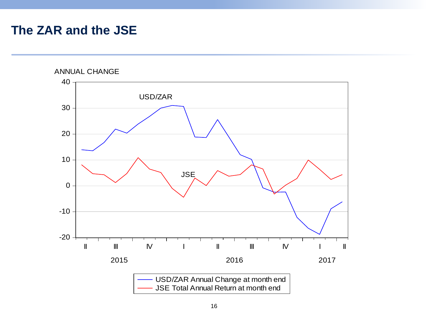#### **The ZAR and the JSE**

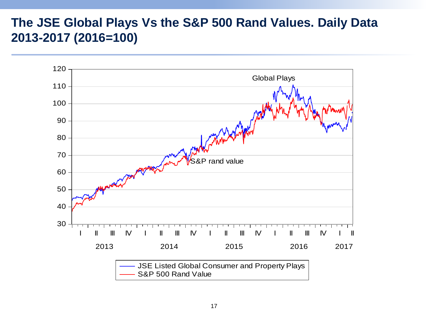#### **The JSE Global Plays Vs the S&P 500 Rand Values. Daily Data 2013-2017 (2016=100)**

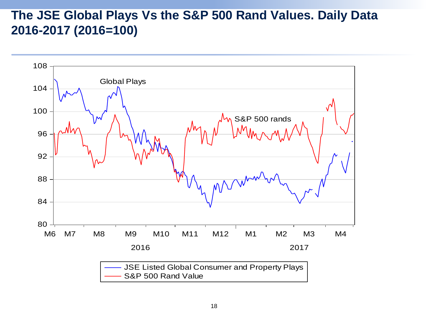### **The JSE Global Plays Vs the S&P 500 Rand Values. Daily Data 2016-2017 (2016=100)**

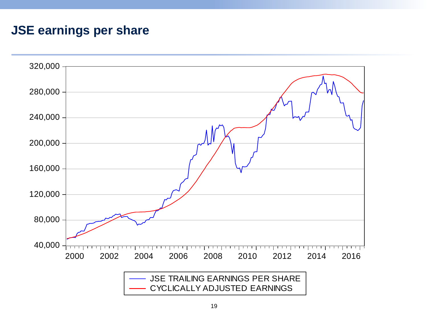### **JSE earnings per share**

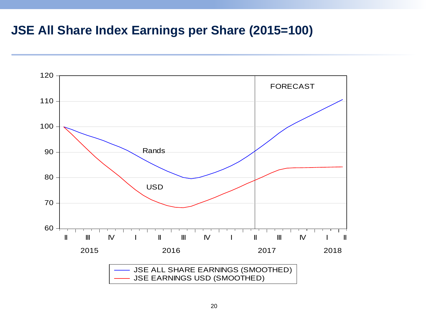#### **JSE All Share Index Earnings per Share (2015=100)**

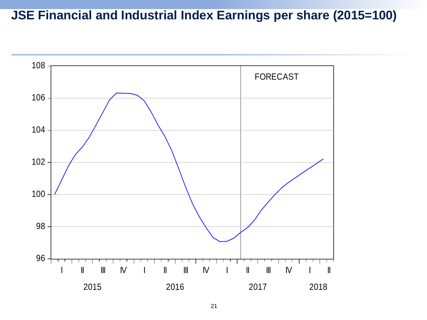## **JSE Financial and Industrial Index Earnings per share (2015=100)**

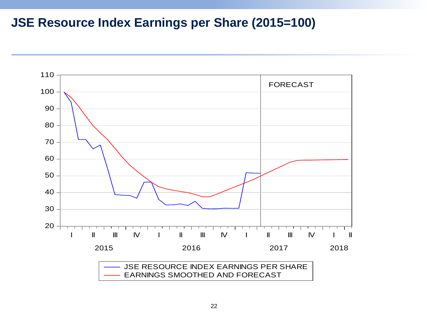### **JSE Resource Index Earnings per Share (2015=100)**

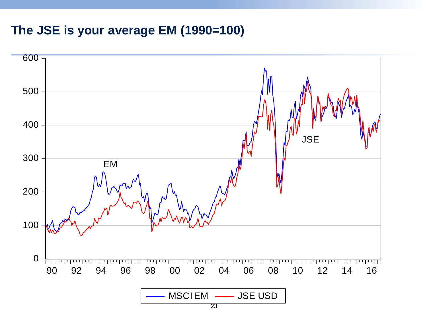#### **The JSE is your average EM (1990=100)**

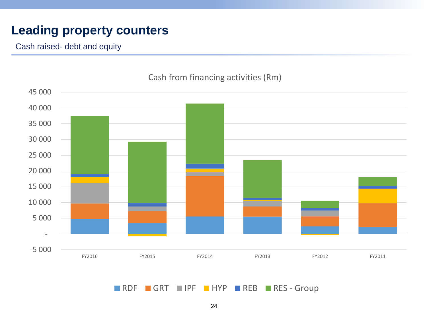## **Leading property counters**

Cash raised- debt and equity



#### Cash from financing activities (Rm)

RDF GRT IPF HYP REB RES-Group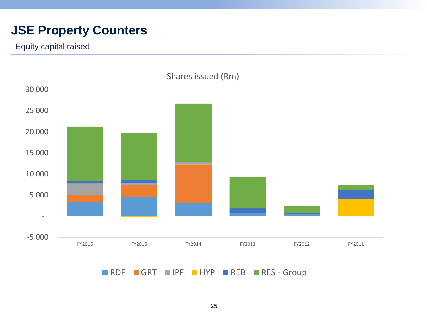## **JSE Property Counters**

Equity capital raised

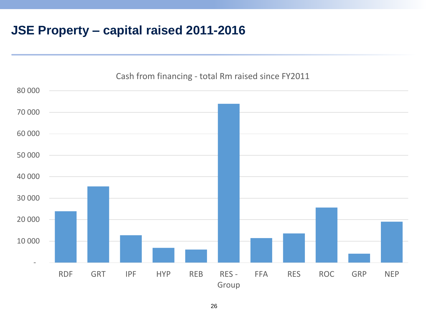## **JSE Property – capital raised 2011-2016**



26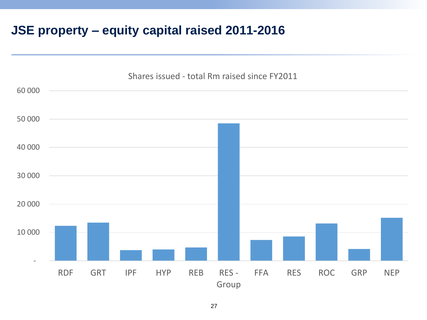## **JSE property – equity capital raised 2011-2016**

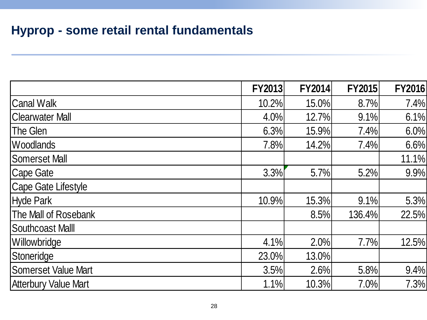## **Hyprop - some retail rental fundamentals**

|                             | <b>FY2013</b> | <b>FY2014</b> | <b>FY2015</b> | <b>FY2016</b> |
|-----------------------------|---------------|---------------|---------------|---------------|
| <b>Canal Walk</b>           | 10.2%         | 15.0%         | 8.7%          | 7.4%          |
| <b>Clearwater Mall</b>      | 4.0%          | 12.7%         | 9.1%          | 6.1%          |
| The Glen                    | 6.3%          | 15.9%         | 7.4%          | 6.0%          |
| <b>Woodlands</b>            | 7.8%          | 14.2%         | 7.4%          | 6.6%          |
| <b>Somerset Mall</b>        |               |               |               | 11.1%         |
| <b>Cape Gate</b>            | 3.3%          | 5.7%          | 5.2%          | 9.9%          |
| <b>Cape Gate Lifestyle</b>  |               |               |               |               |
| <b>Hyde Park</b>            | 10.9%         | 15.3%         | 9.1%          | 5.3%          |
| The Mall of Rosebank        |               | 8.5%          | 136.4%        | 22.5%         |
| <b>Southcoast MallI</b>     |               |               |               |               |
| Willowbridge                | 4.1%          | 2.0%          | 7.7%          | 12.5%         |
| Stoneridge                  | 23.0%         | 13.0%         |               |               |
| <b>Somerset Value Mart</b>  | 3.5%          | 2.6%          | 5.8%          | 9.4%          |
| <b>Atterbury Value Mart</b> | 1.1%          | 10.3%         | 7.0%          | 7.3%          |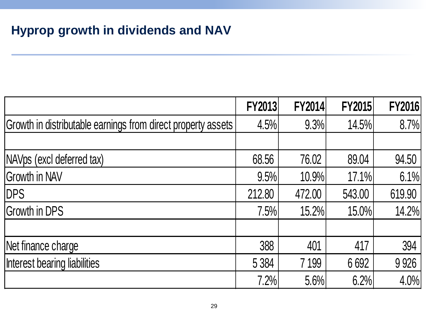# **Hyprop growth in dividends and NAV**

|                                                              | <b>FY2013</b> | <b>FY2014</b> | <b>FY2015</b> | <b>FY2016</b> |
|--------------------------------------------------------------|---------------|---------------|---------------|---------------|
| Growth in distributable earnings from direct property assets | 4.5%          | 9.3%          | 14.5%         | 8.7%          |
|                                                              |               |               |               |               |
| NAVps (excl deferred tax)                                    | 68.56         | 76.02         | 89.04         | 94.50         |
| <b>Growth in NAV</b>                                         | 9.5%          | 10.9%         | 17.1%         | 6.1%          |
| <b>DPS</b>                                                   | 212.80        | 472.00        | 543.00        | 619.90        |
| <b>Growth in DPS</b>                                         | 7.5%          | 15.2%         | 15.0%         | 14.2%         |
|                                                              |               |               |               |               |
| Net finance charge                                           | 388           | 401           | 417           | 394           |
| Interest bearing liabilities                                 | 5 3 8 4       | 7 199         | 6692          | 9926          |
|                                                              | 7.2%          | 5.6%          | 6.2%          | 4.0%          |